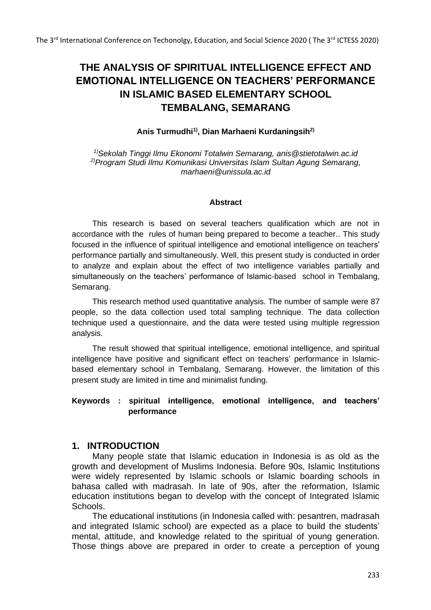# **THE ANALYSIS OF SPIRITUAL INTELLIGENCE EFFECT AND EMOTIONAL INTELLIGENCE ON TEACHERS' PERFORMANCE IN ISLAMIC BASED ELEMENTARY SCHOOL TEMBALANG, SEMARANG**

#### **Anis Turmudhi1), Dian Marhaeni Kurdaningsih2)**

*1)Sekolah Tinggi Ilmu Ekonomi Totalwin Semarang, [anis@stietotalwin.ac.id](mailto:anis@stietotalwin.ac.id) 2)Program Studi Ilmu Komunikasi Universitas Islam Sultan Agung Semarang, [marhaeni@unissula.ac.id](mailto:marhaeni@unissula.ac.id)*

#### **Abstract**

This research is based on several teachers qualification which are not in accordance with the rules of human being prepared to become a teacher.. This study focused in the influence of spiritual intelligence and emotional intelligence on teachers' performance partially and simultaneously. Well, this present study is conducted in order to analyze and explain about the effect of two intelligence variables partially and simultaneously on the teachers' performance of Islamic-based school in Tembalang, Semarang.

This research method used quantitative analysis. The number of sample were 87 people, so the data collection used total sampling technique. The data collection technique used a questionnaire, and the data were tested using multiple regression analysis.

The result showed that spiritual intelligence, emotional intelligence, and spiritual intelligence have positive and significant effect on teachers' performance in Islamicbased elementary school in Tembalang, Semarang. However, the limitation of this present study are limited in time and minimalist funding.

### **Keywords : spiritual intelligence, emotional intelligence, and teachers' performance**

#### **1. INTRODUCTION**

Many people state that Islamic education in Indonesia is as old as the growth and development of Muslims Indonesia. Before 90s, Islamic Institutions were widely represented by Islamic schools or Islamic boarding schools in bahasa called with madrasah. In late of 90s, after the reformation, Islamic education institutions began to develop with the concept of Integrated Islamic Schools.

The educational institutions (in Indonesia called with: pesantren, madrasah and integrated Islamic school) are expected as a place to build the students' mental, attitude, and knowledge related to the spiritual of young generation. Those things above are prepared in order to create a perception of young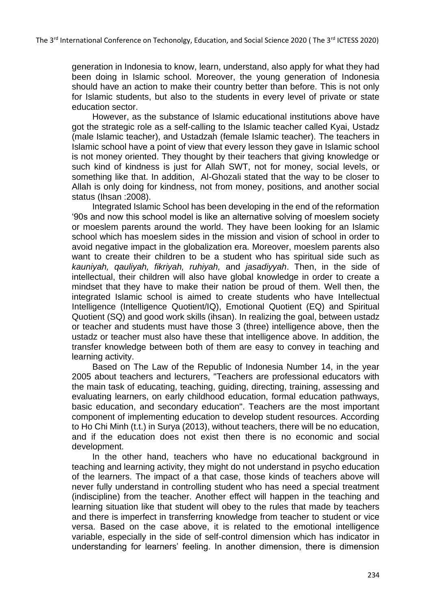generation in Indonesia to know, learn, understand, also apply for what they had been doing in Islamic school. Moreover, the young generation of Indonesia should have an action to make their country better than before. This is not only for Islamic students, but also to the students in every level of private or state education sector.

However, as the substance of Islamic educational institutions above have got the strategic role as a self-calling to the Islamic teacher called Kyai, Ustadz (male Islamic teacher), and Ustadzah (female Islamic teacher). The teachers in Islamic school have a point of view that every lesson they gave in Islamic school is not money oriented. They thought by their teachers that giving knowledge or such kind of kindness is just for Allah SWT, not for money, social levels, or something like that. In addition, Al-Ghozali stated that the way to be closer to Allah is only doing for kindness, not from money, positions, and another social status (Ihsan :2008).

Integrated Islamic School has been developing in the end of the reformation '90s and now this school model is like an alternative solving of moeslem society or moeslem parents around the world. They have been looking for an Islamic school which has moeslem sides in the mission and vision of school in order to avoid negative impact in the globalization era. Moreover, moeslem parents also want to create their children to be a student who has spiritual side such as *kauniyah, qauliyah, fikriyah, ruhiyah,* and *jasadiyyah*. Then, in the side of intellectual, their children will also have global knowledge in order to create a mindset that they have to make their nation be proud of them. Well then, the integrated Islamic school is aimed to create students who have Intellectual Intelligence (Intelligence Quotient/IQ), Emotional Quotient (EQ) and Spiritual Quotient (SQ) and good work skills (ihsan). In realizing the goal, between ustadz or teacher and students must have those 3 (three) intelligence above, then the ustadz or teacher must also have these that intelligence above. In addition, the transfer knowledge between both of them are easy to convey in teaching and learning activity.

Based on The Law of the Republic of Indonesia Number 14, in the year 2005 about teachers and lecturers, "Teachers are professional educators with the main task of educating, teaching, guiding, directing, training, assessing and evaluating learners, on early childhood education, formal education pathways, basic education, and secondary education". Teachers are the most important component of implementing education to develop student resources. According to Ho Chi Minh (t.t.) in Surya (2013), without teachers, there will be no education, and if the education does not exist then there is no economic and social development.

In the other hand, teachers who have no educational background in teaching and learning activity, they might do not understand in psycho education of the learners. The impact of a that case, those kinds of teachers above will never fully understand in controlling student who has need a special treatment (indiscipline) from the teacher. Another effect will happen in the teaching and learning situation like that student will obey to the rules that made by teachers and there is imperfect in transferring knowledge from teacher to student or vice versa. Based on the case above, it is related to the emotional intelligence variable, especially in the side of self-control dimension which has indicator in understanding for learners' feeling. In another dimension, there is dimension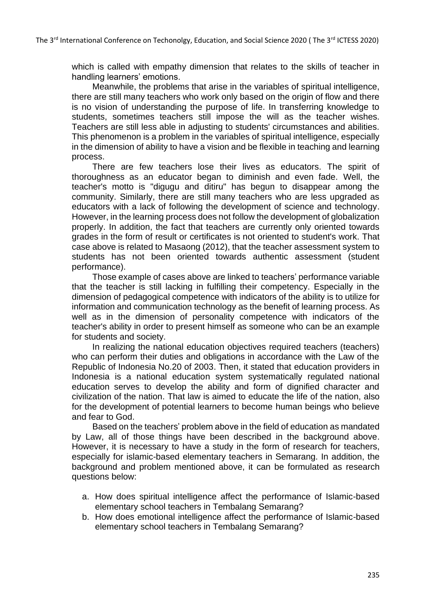which is called with empathy dimension that relates to the skills of teacher in handling learners' emotions.

Meanwhile, the problems that arise in the variables of spiritual intelligence, there are still many teachers who work only based on the origin of flow and there is no vision of understanding the purpose of life. In transferring knowledge to students, sometimes teachers still impose the will as the teacher wishes. Teachers are still less able in adjusting to students' circumstances and abilities. This phenomenon is a problem in the variables of spiritual intelligence, especially in the dimension of ability to have a vision and be flexible in teaching and learning process.

There are few teachers lose their lives as educators. The spirit of thoroughness as an educator began to diminish and even fade. Well, the teacher's motto is "digugu and ditiru" has begun to disappear among the community. Similarly, there are still many teachers who are less upgraded as educators with a lack of following the development of science and technology. However, in the learning process does not follow the development of globalization properly. In addition, the fact that teachers are currently only oriented towards grades in the form of result or certificates is not oriented to student's work. That case above is related to Masaong (2012), that the teacher assessment system to students has not been oriented towards authentic assessment (student performance).

Those example of cases above are linked to teachers' performance variable that the teacher is still lacking in fulfilling their competency. Especially in the dimension of pedagogical competence with indicators of the ability is to utilize for information and communication technology as the benefit of learning process. As well as in the dimension of personality competence with indicators of the teacher's ability in order to present himself as someone who can be an example for students and society.

In realizing the national education objectives required teachers (teachers) who can perform their duties and obligations in accordance with the Law of the Republic of Indonesia No.20 of 2003. Then, it stated that education providers in Indonesia is a national education system systematically regulated national education serves to develop the ability and form of dignified character and civilization of the nation. That law is aimed to educate the life of the nation, also for the development of potential learners to become human beings who believe and fear to God.

Based on the teachers' problem above in the field of education as mandated by Law, all of those things have been described in the background above. However, it is necessary to have a study in the form of research for teachers, especially for islamic-based elementary teachers in Semarang. In addition, the background and problem mentioned above, it can be formulated as research questions below:

- a. How does spiritual intelligence affect the performance of Islamic-based elementary school teachers in Tembalang Semarang?
- b. How does emotional intelligence affect the performance of Islamic-based elementary school teachers in Tembalang Semarang?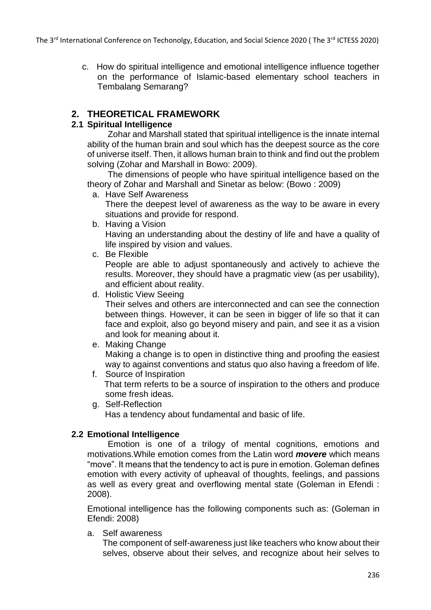c. How do spiritual intelligence and emotional intelligence influence together on the performance of Islamic-based elementary school teachers in Tembalang Semarang?

# **2. THEORETICAL FRAMEWORK**

### **2.1 Spiritual Intelligence**

Zohar and Marshall stated that spiritual intelligence is the innate internal ability of the human brain and soul which has the deepest source as the core of universe itself. Then, it allows human brain to think and find out the problem solving (Zohar and Marshall in Bowo: 2009).

The dimensions of people who have spiritual intelligence based on the theory of Zohar and Marshall and Sinetar as below: (Bowo : 2009)

a. Have Self Awareness

There the deepest level of awareness as the way to be aware in every situations and provide for respond.

b. Having a Vision

Having an understanding about the destiny of life and have a quality of life inspired by vision and values.

c. Be Flexible

People are able to adjust spontaneously and actively to achieve the results. Moreover, they should have a pragmatic view (as per usability), and efficient about reality.

d. Holistic View Seeing

Their selves and others are interconnected and can see the connection between things. However, it can be seen in bigger of life so that it can face and exploit, also go beyond misery and pain, and see it as a vision and look for meaning about it.

e. Making Change

Making a change is to open in distinctive thing and proofing the easiest way to against conventions and status quo also having a freedom of life.

- f. Source of Inspiration That term referts to be a source of inspiration to the others and produce some fresh ideas.
- g. Self-Reflection Has a tendency about fundamental and basic of life.

### **2.2 Emotional Intelligence**

Emotion is one of a trilogy of mental cognitions, emotions and motivations.While emotion comes from the Latin word *movere* which means "move". It means that the tendency to act is pure in emotion. Goleman defines emotion with every activity of upheaval of thoughts, feelings, and passions as well as every great and overflowing mental state (Goleman in Efendi : 2008).

Emotional intelligence has the following components such as: (Goleman in Efendi: 2008)

a. Self awareness

The component of self-awareness just like teachers who know about their selves, observe about their selves, and recognize about heir selves to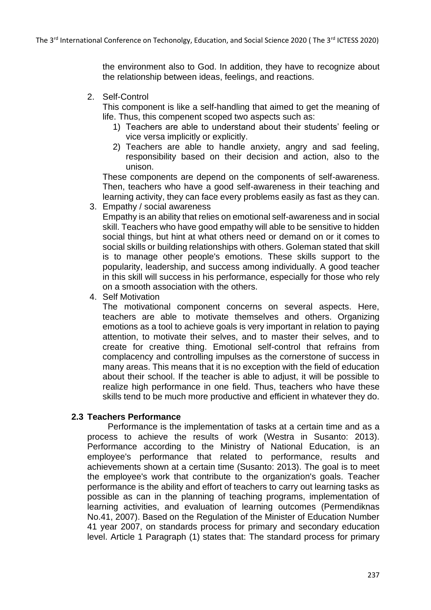the environment also to God. In addition, they have to recognize about the relationship between ideas, feelings, and reactions.

2. Self-Control

This component is like a self-handling that aimed to get the meaning of life. Thus, this compenent scoped two aspects such as:

- 1) Teachers are able to understand about their students' feeling or vice versa implicitly or explicitly.
- 2) Teachers are able to handle anxiety, angry and sad feeling, responsibility based on their decision and action, also to the unison.

These components are depend on the components of self-awareness. Then, teachers who have a good self-awareness in their teaching and learning activity, they can face every problems easily as fast as they can.

3. Empathy / social awareness

Empathy is an ability that relies on emotional self-awareness and in social skill. Teachers who have good empathy will able to be sensitive to hidden social things, but hint at what others need or demand on or it comes to social skills or building relationships with others. Goleman stated that skill is to manage other people's emotions. These skills support to the popularity, leadership, and success among individually. A good teacher in this skill will success in his performance, especially for those who rely on a smooth association with the others.

4. Self Motivation

The motivational component concerns on several aspects. Here, teachers are able to motivate themselves and others. Organizing emotions as a tool to achieve goals is very important in relation to paying attention, to motivate their selves, and to master their selves, and to create for creative thing. Emotional self-control that refrains from complacency and controlling impulses as the cornerstone of success in many areas. This means that it is no exception with the field of education about their school. If the teacher is able to adjust, it will be possible to realize high performance in one field. Thus, teachers who have these skills tend to be much more productive and efficient in whatever they do.

#### **2.3 Teachers Performance**

Performance is the implementation of tasks at a certain time and as a process to achieve the results of work (Westra in Susanto: 2013). Performance according to the Ministry of National Education, is an employee's performance that related to performance, results and achievements shown at a certain time (Susanto: 2013). The goal is to meet the employee's work that contribute to the organization's goals. Teacher performance is the ability and effort of teachers to carry out learning tasks as possible as can in the planning of teaching programs, implementation of learning activities, and evaluation of learning outcomes (Permendiknas No.41, 2007). Based on the Regulation of the Minister of Education Number 41 year 2007, on standards process for primary and secondary education level. Article 1 Paragraph (1) states that: The standard process for primary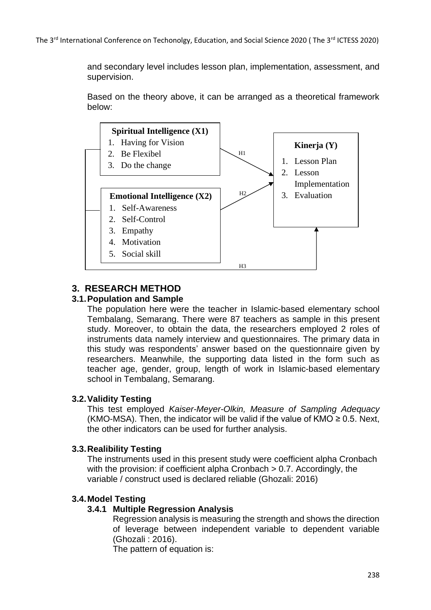and secondary level includes lesson plan, implementation, assessment, and supervision.

Based on the theory above, it can be arranged as a theoretical framework below:



# **3. RESEARCH METHOD**

#### **3.1.Population and Sample**

The population here were the teacher in Islamic-based elementary school Tembalang, Semarang. There were 87 teachers as sample in this present study. Moreover, to obtain the data, the researchers employed 2 roles of instruments data namely interview and questionnaires. The primary data in this study was respondents' answer based on the questionnaire given by researchers. Meanwhile, the supporting data listed in the form such as teacher age, gender, group, length of work in Islamic-based elementary school in Tembalang, Semarang.

#### **3.2.Validity Testing**

This test employed *Kaiser-Meyer-Olkin, Measure of Sampling Adequacy* (KMO-MSA). Then, the indicator will be valid if the value of KMO  $\geq$  0.5. Next, the other indicators can be used for further analysis.

#### **3.3.Realibility Testing**

The instruments used in this present study were coefficient alpha Cronbach with the provision: if coefficient alpha Cronbach > 0.7. Accordingly, the variable / construct used is declared reliable (Ghozali: 2016)

#### **3.4.Model Testing**

#### **3.4.1 Multiple Regression Analysis**

Regression analysis is measuring the strength and shows the direction of leverage between independent variable to dependent variable (Ghozali : 2016).

The pattern of equation is: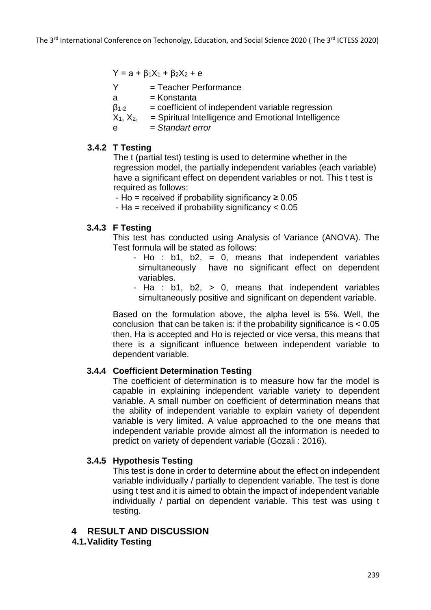$Y = a + β<sub>1</sub>X<sub>1</sub> + β<sub>2</sub>X<sub>2</sub> + e$ 

- $Y = Teacher Performance$
- $a =$ Konstanta
- $\beta_{1-2}$  = coefficient of independent variable regression
- $X_1, X_2,$  = Spiritual Intelligence and Emotional Intelligence
- e = *Standart error*

### **3.4.2 T Testing**

The t (partial test) testing is used to determine whether in the regression model, the partially independent variables (each variable) have a significant effect on dependent variables or not. This t test is required as follows:

- Ho = received if probability significancy  $\geq 0.05$
- Ha = received if probability significancy < 0.05

### **3.4.3 F Testing**

This test has conducted using Analysis of Variance (ANOVA). The Test formula will be stated as follows:

- Ho :  $b1$ ,  $b2$ , = 0, means that independent variables simultaneously have no significant effect on dependent variables.
- Ha : b1, b2, > 0, means that independent variables simultaneously positive and significant on dependent variable.

Based on the formulation above, the alpha level is 5%. Well, the conclusion that can be taken is: if the probability significance is < 0.05 then, Ha is accepted and Ho is rejected or vice versa, this means that there is a significant influence between independent variable to dependent variable.

### **3.4.4 Coefficient Determination Testing**

The coefficient of determination is to measure how far the model is capable in explaining independent variable variety to dependent variable. A small number on coefficient of determination means that the ability of independent variable to explain variety of dependent variable is very limited. A value approached to the one means that independent variable provide almost all the information is needed to predict on variety of dependent variable (Gozali : 2016).

### **3.4.5 Hypothesis Testing**

This test is done in order to determine about the effect on independent variable individually / partially to dependent variable. The test is done using t test and it is aimed to obtain the impact of independent variable individually / partial on dependent variable. This test was using t testing.

### **4 RESULT AND DISCUSSION**

**4.1.Validity Testing**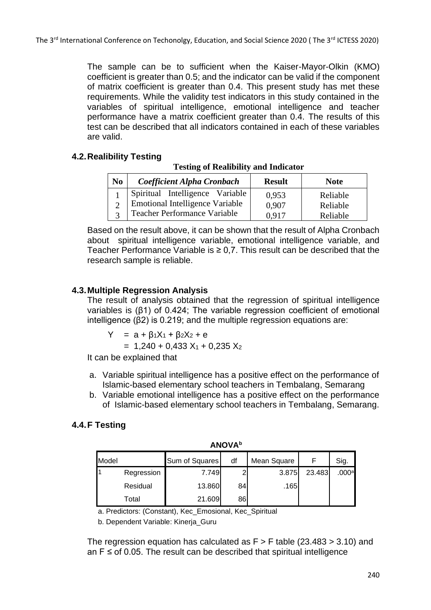The sample can be to sufficient when the Kaiser-Mayor-Olkin (KMO) coefficient is greater than 0.5; and the indicator can be valid if the component of matrix coefficient is greater than 0.4. This present study has met these requirements. While the validity test indicators in this study contained in the variables of spiritual intelligence, emotional intelligence and teacher performance have a matrix coefficient greater than 0.4. The results of this test can be described that all indicators contained in each of these variables are valid.

### **4.2.Realibility Testing**

#### **Testing of Realibility and Indicator**

| N <sub>0</sub> | <b>Coefficient Alpha Cronbach</b>      | <b>Result</b> | <b>Note</b> |
|----------------|----------------------------------------|---------------|-------------|
|                | Spiritual Intelligence Variable        | 0,953         | Reliable    |
|                | <b>Emotional Intelligence Variable</b> | 0,907         | Reliable    |
|                | Teacher Performance Variable           | 0.917         | Reliable    |

Based on the result above, it can be shown that the result of Alpha Cronbach about spiritual intelligence variable, emotional intelligence variable, and Teacher Performance Variable is  $\geq 0.7$ . This result can be described that the research sample is reliable.

### **4.3.Multiple Regression Analysis**

The result of analysis obtained that the regression of spiritual intelligence variables is (β1) of 0.424; The variable regression coefficient of emotional intelligence (β2) is 0.219; and the multiple regression equations are:

Y = 
$$
a + \beta_1 X_1 + \beta_2 X_2 + e
$$

 $= 1,240 + 0,433$  X<sub>1</sub> + 0,235 X<sub>2</sub>

It can be explained that

- a. Variable spiritual intelligence has a positive effect on the performance of Islamic-based elementary school teachers in Tembalang, Semarang
- b. Variable emotional intelligence has a positive effect on the performance of Islamic-based elementary school teachers in Tembalang, Semarang.

# **4.4.F Testing**

| <b>ANOVA</b> b |            |                |    |             |        |       |  |  |  |  |
|----------------|------------|----------------|----|-------------|--------|-------|--|--|--|--|
| Model          |            | Sum of Squares | df | Mean Square |        | Sig.  |  |  |  |  |
|                | Regression | 7.749          | ົ  | 3.875       | 23.483 | .000a |  |  |  |  |
|                | Residual   | 13.860         | 84 | .165        |        |       |  |  |  |  |
|                | Total      | 21.609         | 86 |             |        |       |  |  |  |  |

a. Predictors: (Constant), Kec\_Emosional, Kec\_Spiritual

b. Dependent Variable: Kinerja\_Guru

The regression equation has calculated as  $F > F$  table (23.483 > 3.10) and an  $F \leq$  of 0.05. The result can be described that spiritual intelligence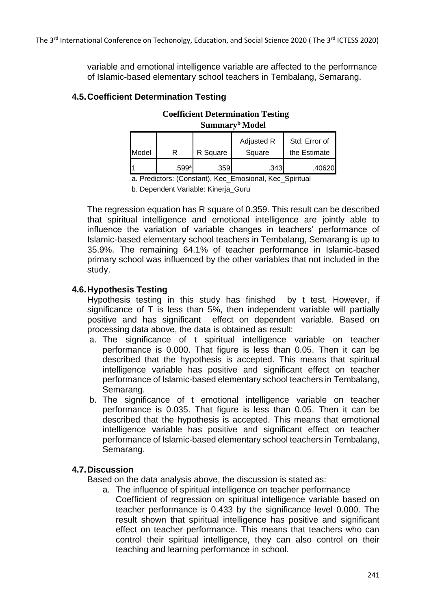variable and emotional intelligence variable are affected to the performance of Islamic-based elementary school teachers in Tembalang, Semarang.

### **4.5.Coefficient Determination Testing**

# **Coefficient Determination Testing Summary<sup>b</sup> Model**

|       |       |          | Adjusted R | Std. Error of |
|-------|-------|----------|------------|---------------|
| Model |       | R Square | Square     | the Estimate  |
|       | .599a | .359     | .343       | .406201       |

a. Predictors: (Constant), Kec\_Emosional, Kec\_Spiritual

b. Dependent Variable: Kinerja\_Guru

The regression equation has R square of 0.359. This result can be described that spiritual intelligence and emotional intelligence are jointly able to influence the variation of variable changes in teachers' performance of Islamic-based elementary school teachers in Tembalang, Semarang is up to 35.9%. The remaining 64.1% of teacher performance in Islamic-based primary school was influenced by the other variables that not included in the study.

#### **4.6.Hypothesis Testing**

Hypothesis testing in this study has finished by t test. However, if significance of T is less than 5%, then independent variable will partially positive and has significant effect on dependent variable. Based on processing data above, the data is obtained as result:

- a. The significance of t spiritual intelligence variable on teacher performance is 0.000. That figure is less than 0.05. Then it can be described that the hypothesis is accepted. This means that spiritual intelligence variable has positive and significant effect on teacher performance of Islamic-based elementary school teachers in Tembalang, Semarang.
- b. The significance of t emotional intelligence variable on teacher performance is 0.035. That figure is less than 0.05. Then it can be described that the hypothesis is accepted. This means that emotional intelligence variable has positive and significant effect on teacher performance of Islamic-based elementary school teachers in Tembalang, Semarang.

#### **4.7.Discussion**

Based on the data analysis above, the discussion is stated as:

a. The influence of spiritual intelligence on teacher performance Coefficient of regression on spiritual intelligence variable based on teacher performance is 0.433 by the significance level 0.000. The result shown that spiritual intelligence has positive and significant effect on teacher performance. This means that teachers who can control their spiritual intelligence, they can also control on their teaching and learning performance in school.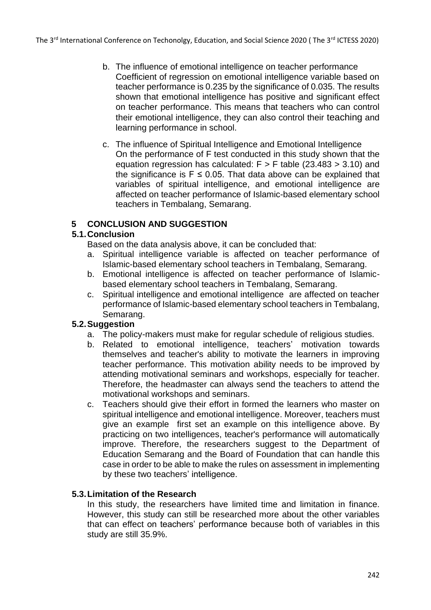- b. The influence of emotional intelligence on teacher performance Coefficient of regression on emotional intelligence variable based on teacher performance is 0.235 by the significance of 0.035. The results shown that emotional intelligence has positive and significant effect on teacher performance. This means that teachers who can control their emotional intelligence, they can also control their teaching and learning performance in school.
- c. The influence of Spiritual Intelligence and Emotional Intelligence On the performance of F test conducted in this study shown that the equation regression has calculated:  $F > F$  table (23.483 > 3.10) and the significance is  $F \leq 0.05$ . That data above can be explained that variables of spiritual intelligence, and emotional intelligence are affected on teacher performance of Islamic-based elementary school teachers in Tembalang, Semarang.

### **5 CONCLUSION AND SUGGESTION**

### **5.1.Conclusion**

Based on the data analysis above, it can be concluded that:

- a. Spiritual intelligence variable is affected on teacher performance of Islamic-based elementary school teachers in Tembalang, Semarang.
- b. Emotional intelligence is affected on teacher performance of Islamicbased elementary school teachers in Tembalang, Semarang.
- c. Spiritual intelligence and emotional intelligence are affected on teacher performance of Islamic-based elementary school teachers in Tembalang, Semarang.

#### **5.2.Suggestion**

- a. The policy-makers must make for regular schedule of religious studies.
- b. Related to emotional intelligence, teachers' motivation towards themselves and teacher's ability to motivate the learners in improving teacher performance. This motivation ability needs to be improved by attending motivational seminars and workshops, especially for teacher. Therefore, the headmaster can always send the teachers to attend the motivational workshops and seminars.
- c. Teachers should give their effort in formed the learners who master on spiritual intelligence and emotional intelligence. Moreover, teachers must give an example first set an example on this intelligence above. By practicing on two intelligences, teacher's performance will automatically improve. Therefore, the researchers suggest to the Department of Education Semarang and the Board of Foundation that can handle this case in order to be able to make the rules on assessment in implementing by these two teachers' intelligence.

### **5.3.Limitation of the Research**

In this study, the researchers have limited time and limitation in finance. However, this study can still be researched more about the other variables that can effect on teachers' performance because both of variables in this study are still 35.9%.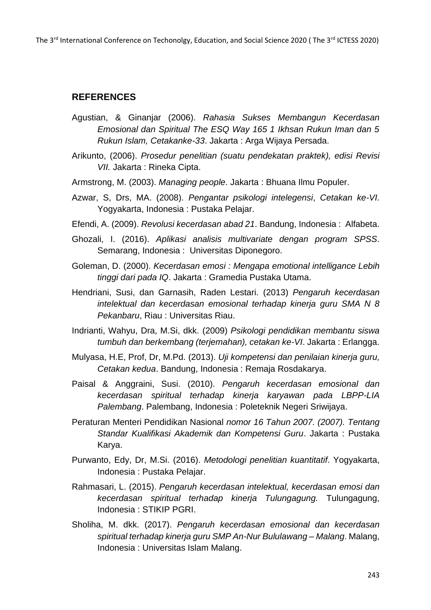The 3<sup>rd</sup> International Conference on Techonolgy, Education, and Social Science 2020 (The 3<sup>rd</sup> ICTESS 2020)

# **REFERENCES**

- Agustian, & Ginanjar (2006). *Rahasia Sukses Membangun Kecerdasan Emosional dan Spiritual The ESQ Way 165 1 Ikhsan Rukun Iman dan 5 Rukun Islam, Cetakanke-33*. Jakarta : Arga Wijaya Persada.
- Arikunto, (2006). *Prosedur penelitian (suatu pendekatan praktek), edisi Revisi VII.* Jakarta : Rineka Cipta.
- Armstrong, M. (2003). *Managing people*. Jakarta : Bhuana Ilmu Populer.
- Azwar, S, Drs, MA. (2008). *Pengantar psikologi intelegensi*, *Cetakan ke-VI.* Yogyakarta, Indonesia : Pustaka Pelajar.
- Efendi, A. (2009). *Revolusi kecerdasan abad 21*. Bandung, Indonesia : Alfabeta.
- Ghozali, I. (2016). *Aplikasi analisis multivariate dengan program SPSS*. Semarang, Indonesia : Universitas Diponegoro.
- Goleman, D. (2000). *Kecerdasan emosi : Mengapa emotional intelligance Lebih tinggi dari pada IQ*. Jakarta : Gramedia Pustaka Utama.
- Hendriani, Susi, dan Garnasih, Raden Lestari. (2013) *Pengaruh kecerdasan intelektual dan kecerdasan emosional terhadap kinerja guru SMA N 8 Pekanbaru*, Riau : Universitas Riau.
- Indrianti, Wahyu, Dra, M.Si, dkk. (2009) *Psikologi pendidikan membantu siswa tumbuh dan berkembang (terjemahan), cetakan ke-VI*. Jakarta : Erlangga.
- Mulyasa, H.E, Prof, Dr, M.Pd. (2013). *Uji kompetensi dan penilaian kinerja guru, Cetakan kedua*. Bandung, Indonesia : Remaja Rosdakarya.
- Paisal & Anggraini, Susi. (2010). *Pengaruh kecerdasan emosional dan kecerdasan spiritual terhadap kinerja karyawan pada LBPP-LIA Palembang*. Palembang, Indonesia : Poleteknik Negeri Sriwijaya.
- Peraturan Menteri Pendidikan Nasional *nomor 16 Tahun 2007. (2007). Tentang Standar Kualifikasi Akademik dan Kompetensi Guru*. Jakarta : Pustaka Karya.
- Purwanto, Edy, Dr, M.Si. (2016). *Metodologi penelitian kuantitatif*. Yogyakarta, Indonesia : Pustaka Pelajar.
- Rahmasari, L. (2015). *Pengaruh kecerdasan intelektual, kecerdasan emosi dan kecerdasan spiritual terhadap kinerja Tulungagung.* Tulungagung, Indonesia : STIKIP PGRI.
- Sholiha, M. dkk. (2017). *Pengaruh kecerdasan emosional dan kecerdasan spiritual terhadap kinerja guru SMP An-Nur Bululawang – Malang*. Malang, Indonesia : Universitas Islam Malang.